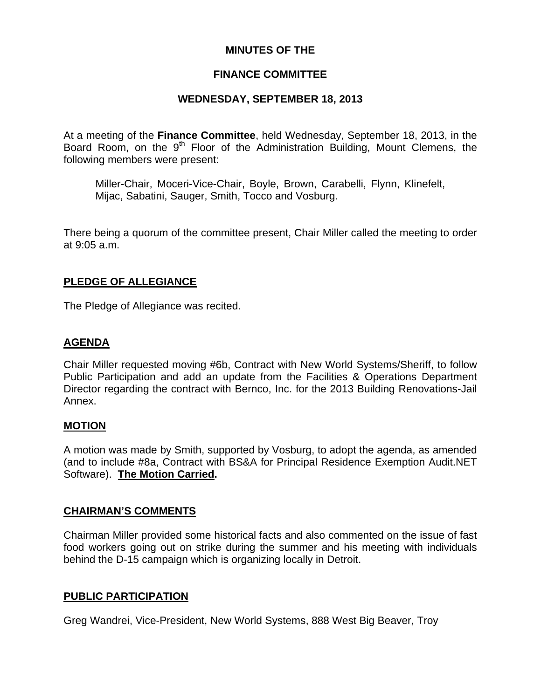## **MINUTES OF THE**

### **FINANCE COMMITTEE**

### **WEDNESDAY, SEPTEMBER 18, 2013**

At a meeting of the **Finance Committee**, held Wednesday, September 18, 2013, in the Board Room, on the  $9<sup>th</sup>$  Floor of the Administration Building, Mount Clemens, the following members were present:

Miller-Chair, Moceri-Vice-Chair, Boyle, Brown, Carabelli, Flynn, Klinefelt, Mijac, Sabatini, Sauger, Smith, Tocco and Vosburg.

There being a quorum of the committee present, Chair Miller called the meeting to order at 9:05 a.m.

### **PLEDGE OF ALLEGIANCE**

The Pledge of Allegiance was recited.

### **AGENDA**

Chair Miller requested moving #6b, Contract with New World Systems/Sheriff, to follow Public Participation and add an update from the Facilities & Operations Department Director regarding the contract with Bernco, Inc. for the 2013 Building Renovations-Jail Annex.

#### **MOTION**

A motion was made by Smith, supported by Vosburg, to adopt the agenda, as amended (and to include #8a, Contract with BS&A for Principal Residence Exemption Audit.NET Software). **The Motion Carried.** 

#### **CHAIRMAN'S COMMENTS**

Chairman Miller provided some historical facts and also commented on the issue of fast food workers going out on strike during the summer and his meeting with individuals behind the D-15 campaign which is organizing locally in Detroit.

#### **PUBLIC PARTICIPATION**

Greg Wandrei, Vice-President, New World Systems, 888 West Big Beaver, Troy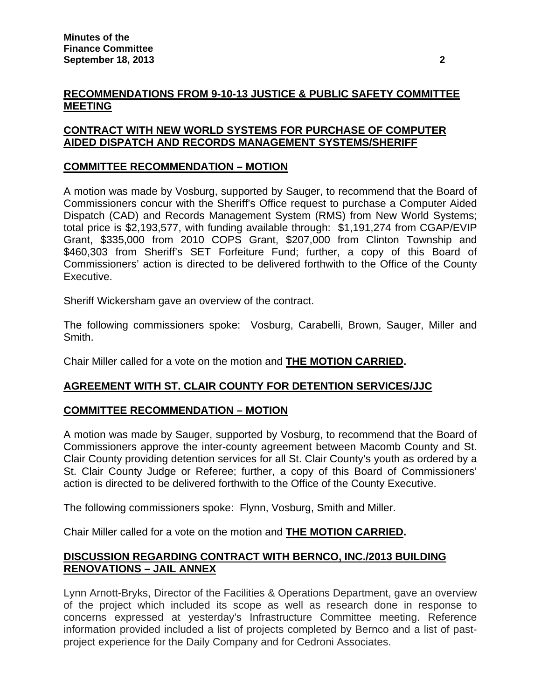# **RECOMMENDATIONS FROM 9-10-13 JUSTICE & PUBLIC SAFETY COMMITTEE MEETING**

# **CONTRACT WITH NEW WORLD SYSTEMS FOR PURCHASE OF COMPUTER AIDED DISPATCH AND RECORDS MANAGEMENT SYSTEMS/SHERIFF**

# **COMMITTEE RECOMMENDATION – MOTION**

A motion was made by Vosburg, supported by Sauger, to recommend that the Board of Commissioners concur with the Sheriff's Office request to purchase a Computer Aided Dispatch (CAD) and Records Management System (RMS) from New World Systems; total price is \$2,193,577, with funding available through: \$1,191,274 from CGAP/EVIP Grant, \$335,000 from 2010 COPS Grant, \$207,000 from Clinton Township and \$460,303 from Sheriff's SET Forfeiture Fund; further, a copy of this Board of Commissioners' action is directed to be delivered forthwith to the Office of the County Executive.

Sheriff Wickersham gave an overview of the contract.

The following commissioners spoke: Vosburg, Carabelli, Brown, Sauger, Miller and Smith.

Chair Miller called for a vote on the motion and **THE MOTION CARRIED.** 

## **AGREEMENT WITH ST. CLAIR COUNTY FOR DETENTION SERVICES/JJC**

## **COMMITTEE RECOMMENDATION – MOTION**

A motion was made by Sauger, supported by Vosburg, to recommend that the Board of Commissioners approve the inter-county agreement between Macomb County and St. Clair County providing detention services for all St. Clair County's youth as ordered by a St. Clair County Judge or Referee; further, a copy of this Board of Commissioners' action is directed to be delivered forthwith to the Office of the County Executive.

The following commissioners spoke: Flynn, Vosburg, Smith and Miller.

Chair Miller called for a vote on the motion and **THE MOTION CARRIED.** 

## **DISCUSSION REGARDING CONTRACT WITH BERNCO, INC./2013 BUILDING RENOVATIONS – JAIL ANNEX**

Lynn Arnott-Bryks, Director of the Facilities & Operations Department, gave an overview of the project which included its scope as well as research done in response to concerns expressed at yesterday's Infrastructure Committee meeting. Reference information provided included a list of projects completed by Bernco and a list of pastproject experience for the Daily Company and for Cedroni Associates.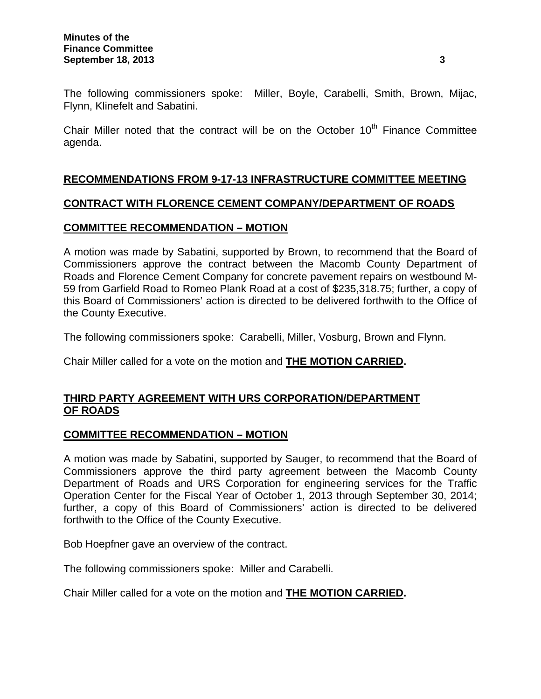The following commissioners spoke: Miller, Boyle, Carabelli, Smith, Brown, Mijac, Flynn, Klinefelt and Sabatini.

Chair Miller noted that the contract will be on the October  $10<sup>th</sup>$  Finance Committee agenda.

## **RECOMMENDATIONS FROM 9-17-13 INFRASTRUCTURE COMMITTEE MEETING**

### **CONTRACT WITH FLORENCE CEMENT COMPANY/DEPARTMENT OF ROADS**

### **COMMITTEE RECOMMENDATION – MOTION**

A motion was made by Sabatini, supported by Brown, to recommend that the Board of Commissioners approve the contract between the Macomb County Department of Roads and Florence Cement Company for concrete pavement repairs on westbound M-59 from Garfield Road to Romeo Plank Road at a cost of \$235,318.75; further, a copy of this Board of Commissioners' action is directed to be delivered forthwith to the Office of the County Executive.

The following commissioners spoke: Carabelli, Miller, Vosburg, Brown and Flynn.

Chair Miller called for a vote on the motion and **THE MOTION CARRIED.** 

# **THIRD PARTY AGREEMENT WITH URS CORPORATION/DEPARTMENT OF ROADS**

## **COMMITTEE RECOMMENDATION – MOTION**

A motion was made by Sabatini, supported by Sauger, to recommend that the Board of Commissioners approve the third party agreement between the Macomb County Department of Roads and URS Corporation for engineering services for the Traffic Operation Center for the Fiscal Year of October 1, 2013 through September 30, 2014; further, a copy of this Board of Commissioners' action is directed to be delivered forthwith to the Office of the County Executive.

Bob Hoepfner gave an overview of the contract.

The following commissioners spoke: Miller and Carabelli.

Chair Miller called for a vote on the motion and **THE MOTION CARRIED.**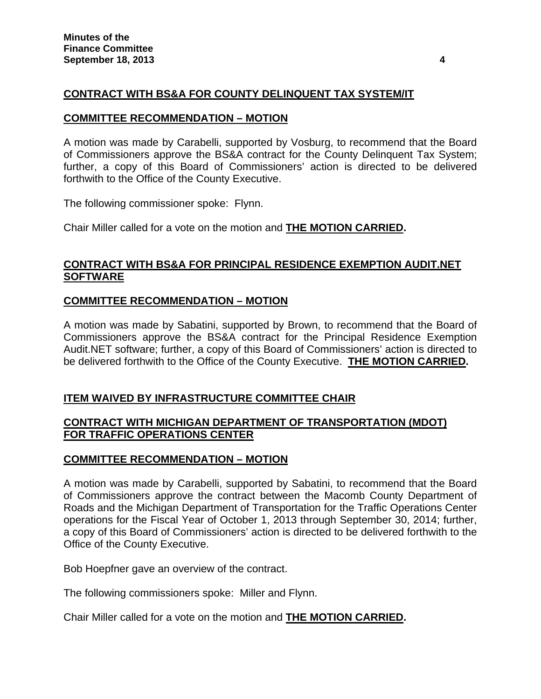# **CONTRACT WITH BS&A FOR COUNTY DELINQUENT TAX SYSTEM/IT**

#### **COMMITTEE RECOMMENDATION – MOTION**

A motion was made by Carabelli, supported by Vosburg, to recommend that the Board of Commissioners approve the BS&A contract for the County Delinquent Tax System; further, a copy of this Board of Commissioners' action is directed to be delivered forthwith to the Office of the County Executive.

The following commissioner spoke: Flynn.

Chair Miller called for a vote on the motion and **THE MOTION CARRIED.** 

## **CONTRACT WITH BS&A FOR PRINCIPAL RESIDENCE EXEMPTION AUDIT.NET SOFTWARE**

## **COMMITTEE RECOMMENDATION – MOTION**

A motion was made by Sabatini, supported by Brown, to recommend that the Board of Commissioners approve the BS&A contract for the Principal Residence Exemption Audit.NET software; further, a copy of this Board of Commissioners' action is directed to be delivered forthwith to the Office of the County Executive. **THE MOTION CARRIED.** 

## **ITEM WAIVED BY INFRASTRUCTURE COMMITTEE CHAIR**

## **CONTRACT WITH MICHIGAN DEPARTMENT OF TRANSPORTATION (MDOT) FOR TRAFFIC OPERATIONS CENTER**

## **COMMITTEE RECOMMENDATION – MOTION**

A motion was made by Carabelli, supported by Sabatini, to recommend that the Board of Commissioners approve the contract between the Macomb County Department of Roads and the Michigan Department of Transportation for the Traffic Operations Center operations for the Fiscal Year of October 1, 2013 through September 30, 2014; further, a copy of this Board of Commissioners' action is directed to be delivered forthwith to the Office of the County Executive.

Bob Hoepfner gave an overview of the contract.

The following commissioners spoke: Miller and Flynn.

Chair Miller called for a vote on the motion and **THE MOTION CARRIED.**